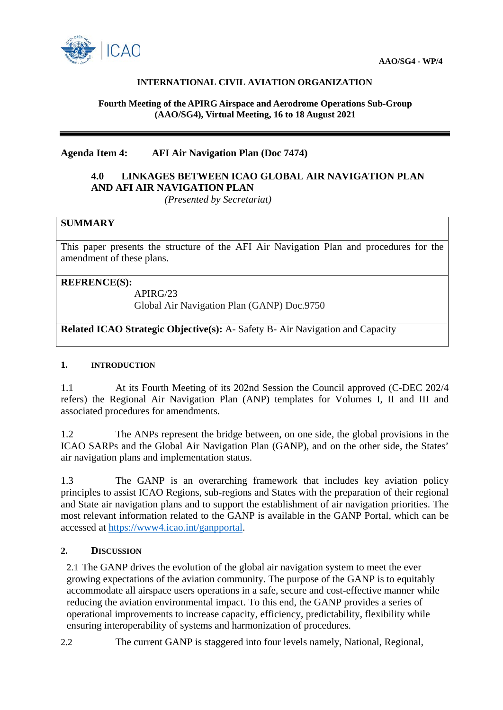

## **INTERNATIONAL CIVIL AVIATION ORGANIZATION**

#### **Fourth Meeting of the APIRG Airspace and Aerodrome Operations Sub-Group (AAO/SG4), Virtual Meeting, 16 to 18 August 2021**

## **Agenda Item 4: AFI Air Navigation Plan (Doc 7474)**

# **4.0 LINKAGES BETWEEN ICAO GLOBAL AIR NAVIGATION PLAN AND AFI AIR NAVIGATION PLAN**

 *(Presented by Secretariat)*

## **SUMMARY**

This paper presents the structure of the AFI Air Navigation Plan and procedures for the amendment of these plans.

## **REFRENCE(S):**

APIRG/23

Global Air Navigation Plan (GANP) Doc.9750

**Related ICAO Strategic Objective(s):** A- Safety B- Air Navigation and Capacity

## **1. INTRODUCTION**

1.1 At its Fourth Meeting of its 202nd Session the Council approved (C-DEC 202/4 refers) the Regional Air Navigation Plan (ANP) templates for Volumes I, II and III and associated procedures for amendments.

1.2 The ANPs represent the bridge between, on one side, the global provisions in the ICAO SARPs and the Global Air Navigation Plan (GANP), and on the other side, the States' air navigation plans and implementation status.

1.3 The GANP is an overarching framework that includes key aviation policy principles to assist ICAO Regions, sub-regions and States with the preparation of their regional and State air navigation plans and to support the establishment of air navigation priorities. The most relevant information related to the GANP is available in the GANP Portal, which can be accessed at [https://www4.icao.int/ganpportal.](https://www4.icao.int/ganpportal)

## **2. DISCUSSION**

2.1 The GANP drives the evolution of the global air navigation system to meet the ever growing expectations of the aviation community. The purpose of the GANP is to equitably accommodate all airspace users operations in a safe, secure and cost-effective manner while reducing the aviation environmental impact. To this end, the GANP provides a series of operational improvements to increase capacity, efficiency, predictability, flexibility while ensuring interoperability of systems and harmonization of procedures.

2.2 The current GANP is staggered into four levels namely, National, Regional,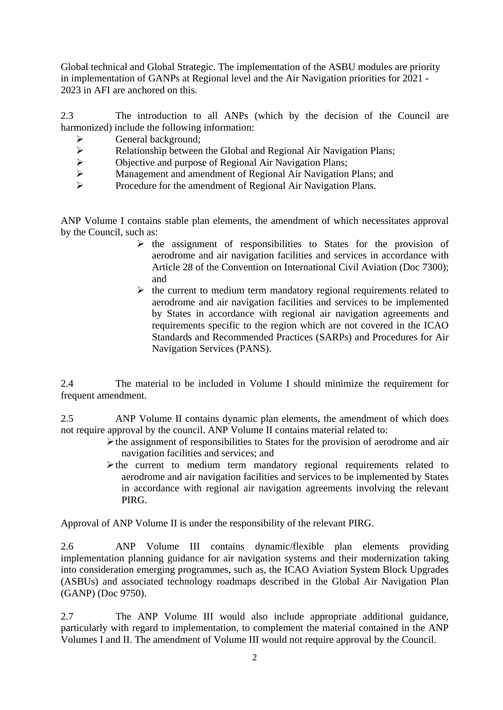Global technical and Global Strategic. The implementation of the ASBU modules are priority in implementation of GANPs at Regional level and the Air Navigation priorities for 2021 - 2023 in AFI are anchored on this.

2.3 The introduction to all ANPs (which by the decision of the Council are harmonized) include the following information:

- $\triangleright$  General background:
- Relationship between the Global and Regional Air Navigation Plans;<br>  $\triangleright$  Objective and purpose of Regional Air Navigation Plans;
- $\triangleright$  Objective and purpose of Regional Air Navigation Plans;<br>
Management and amendment of Regional Air Navigation
- $\triangleright$  Management and amendment of Regional Air Navigation Plans; and Procedure for the amendment of Regional Air Navigation Plans
- Procedure for the amendment of Regional Air Navigation Plans.

ANP Volume I contains stable plan elements, the amendment of which necessitates approval by the Council, such as:

- $\triangleright$  the assignment of responsibilities to States for the provision of aerodrome and air navigation facilities and services in accordance with Article 28 of the Convention on International Civil Aviation (Doc 7300); and
- $\triangleright$  the current to medium term mandatory regional requirements related to aerodrome and air navigation facilities and services to be implemented by States in accordance with regional air navigation agreements and requirements specific to the region which are not covered in the ICAO Standards and Recommended Practices (SARPs) and Procedures for Air Navigation Services (PANS).

2.4 The material to be included in Volume I should minimize the requirement for frequent amendment.

2.5 ANP Volume II contains dynamic plan elements, the amendment of which does not require approval by the council. ANP Volume II contains material related to:

- $\triangleright$  the assignment of responsibilities to States for the provision of aerodrome and air navigation facilities and services; and
- $\triangleright$  the current to medium term mandatory regional requirements related to aerodrome and air navigation facilities and services to be implemented by States in accordance with regional air navigation agreements involving the relevant PIRG.

Approval of ANP Volume II is under the responsibility of the relevant PIRG.

2.6 ANP Volume III contains dynamic/flexible plan elements providing implementation planning guidance for air navigation systems and their modernization taking into consideration emerging programmes, such as, the ICAO Aviation System Block Upgrades (ASBUs) and associated technology roadmaps described in the Global Air Navigation Plan (GANP) (Doc 9750).

2.7 The ANP Volume III would also include appropriate additional guidance, particularly with regard to implementation, to complement the material contained in the ANP Volumes I and II. The amendment of Volume III would not require approval by the Council.